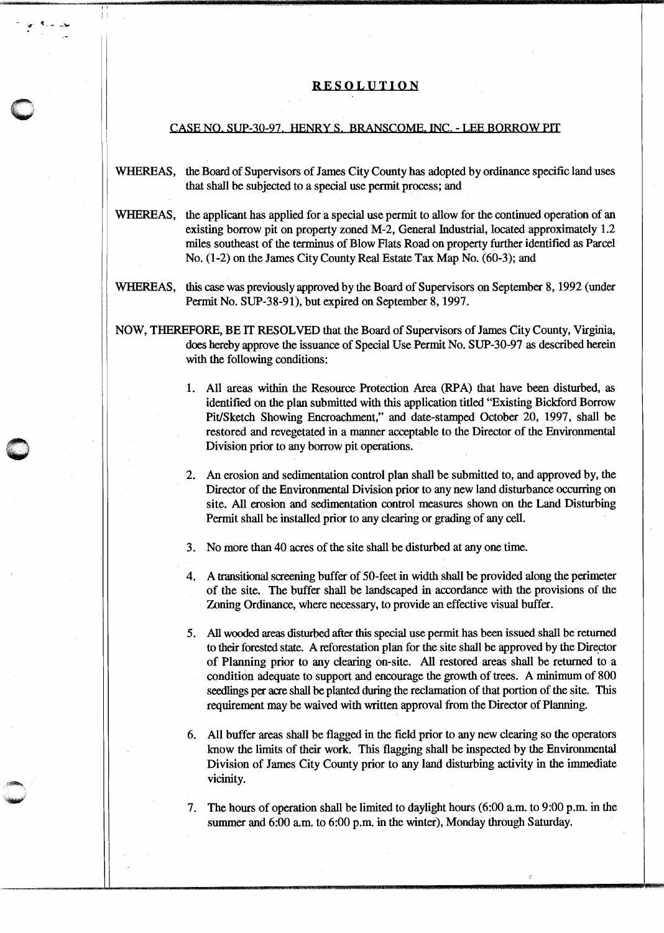## RESOLUTION

## CASE NO. SUP-30-97. HENRY S. BRANSCOME. INC. - LEE BORROW PIT

- WHEREAS, the Board of Supervisors of James City County has adopted by ordinance specific land uses that shall be subjected to a special use permit process; and
- WHEREAS, the applicant has applied for a special use permit to allow for the continued operation of an existing borrow pit on property zoned M-2, General fudustrial, located approximately 1.2 miles southeast of the terminus of Blow Flats Road on property further identified as Parcel No. (1-2) on the James City County Real Estate Tax Map No. (60-3); and
- WHEREAS, this case was previously approved by the Board of Supervisors on September 8, 1992 (under Permit No. SUP-38-91), but expired on September 8, 1997.
- NOW, THEREFORE, BE IT RESOLVED that the Board of Supervisors of James City County, Virginia, does hereby approve the issuance of Special Use Permit No. SUP-30-97 as described herein with the following conditions:
	- 1. All areas within the Resource Protection Area (RPA) that have been disturbed, as identified on the plan submitted with this application titled "Existing Bickford Borrow Pit/Sketch Showing Encroachment," and date-stamped October 20, 1997, shall be restored and revegetated in a manner acceptable to the Director of the Environmental Division prior to any borrow pit operations.
	- 2. An erosion and sedimentation control plan shall be submitted to, and approved by, the Director of the Environmental Division prior to any new land disturbance occurring on site. All erosion and sedimentation control measures shown on the Land Disturbing Permit shall be installed prior to any clearing or grading of any cell.
	- 3. No more than 40 acres of the site shall be disturbed at any one time.

 $\bigcap$ w

11 I I

- 4. A transitional screening buffer of 50-feet in width shall be provided along the perimeter of the site. The buffer shall be landscaped in accordance with the provisions of the Zoning Ordinance, where necessary, to provide an effective visual buffer.
- 5. All wooded areas disturbed after this special use permit has been issued shall be returned to their forested state. A reforestation plan for the site shall be approved by the Director of Planning prior to any clearing on-site. All restored areas shall be returned to a condition adequate to support and encourage the growth of trees. A minimum of 800 seedlings per acre shall be planted during the reclamation of that portion of the site. This requirement may be waived with written approval from the Director of Planning.
- 6. All buffer areas shall be flagged in the field prior to any new clearing so the operators know the limits of their work. This flagging shall be inspected by the Environmental Division of James City County prior to any land disturbing activity in the immediate vicinity.
- 7. The hours of operation shall be limited to daylight hours (6:00 a.m. to 9:00 p.m. in the summer and  $6:00$  a.m. to  $6:00$  p.m. in the winter), Monday through Saturday.